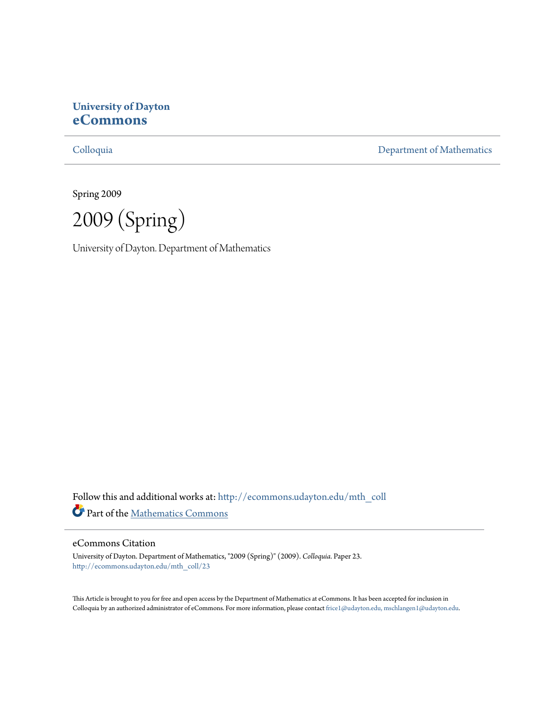# **University of Dayton [eCommons](http://ecommons.udayton.edu?utm_source=ecommons.udayton.edu%2Fmth_coll%2F23&utm_medium=PDF&utm_campaign=PDFCoverPages)**

[Colloquia](http://ecommons.udayton.edu/mth_coll?utm_source=ecommons.udayton.edu%2Fmth_coll%2F23&utm_medium=PDF&utm_campaign=PDFCoverPages) [Department of Mathematics](http://ecommons.udayton.edu/mth?utm_source=ecommons.udayton.edu%2Fmth_coll%2F23&utm_medium=PDF&utm_campaign=PDFCoverPages)

Spring 2009

2009 (Spring)

University of Dayton. Department of Mathematics

Follow this and additional works at: [http://ecommons.udayton.edu/mth\\_coll](http://ecommons.udayton.edu/mth_coll?utm_source=ecommons.udayton.edu%2Fmth_coll%2F23&utm_medium=PDF&utm_campaign=PDFCoverPages) Part of the [Mathematics Commons](http://network.bepress.com/hgg/discipline/174?utm_source=ecommons.udayton.edu%2Fmth_coll%2F23&utm_medium=PDF&utm_campaign=PDFCoverPages)

### eCommons Citation

University of Dayton. Department of Mathematics, "2009 (Spring)" (2009). *Colloquia.* Paper 23. [http://ecommons.udayton.edu/mth\\_coll/23](http://ecommons.udayton.edu/mth_coll/23?utm_source=ecommons.udayton.edu%2Fmth_coll%2F23&utm_medium=PDF&utm_campaign=PDFCoverPages)

This Article is brought to you for free and open access by the Department of Mathematics at eCommons. It has been accepted for inclusion in Colloquia by an authorized administrator of eCommons. For more information, please contact [frice1@udayton.edu, mschlangen1@udayton.edu.](mailto:frice1@udayton.edu,%20mschlangen1@udayton.edu)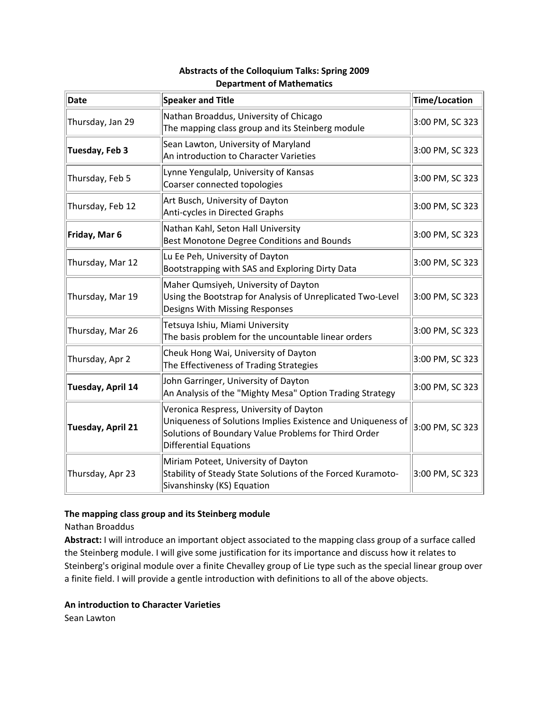| <b>Date</b>       | <b>Speaker and Title</b>                                                                                                                                                                        | Time/Location   |
|-------------------|-------------------------------------------------------------------------------------------------------------------------------------------------------------------------------------------------|-----------------|
| Thursday, Jan 29  | Nathan Broaddus, University of Chicago<br>The mapping class group and its Steinberg module                                                                                                      | 3:00 PM, SC 323 |
| Tuesday, Feb 3    | Sean Lawton, University of Maryland<br>An introduction to Character Varieties                                                                                                                   | 3:00 PM, SC 323 |
| Thursday, Feb 5   | Lynne Yengulalp, University of Kansas<br>Coarser connected topologies                                                                                                                           | 3:00 PM, SC 323 |
| Thursday, Feb 12  | Art Busch, University of Dayton<br>Anti-cycles in Directed Graphs                                                                                                                               | 3:00 PM, SC 323 |
| Friday, Mar 6     | Nathan Kahl, Seton Hall University<br>Best Monotone Degree Conditions and Bounds                                                                                                                | 3:00 PM, SC 323 |
| Thursday, Mar 12  | Lu Ee Peh, University of Dayton<br>Bootstrapping with SAS and Exploring Dirty Data                                                                                                              | 3:00 PM, SC 323 |
| Thursday, Mar 19  | Maher Qumsiyeh, University of Dayton<br>Using the Bootstrap for Analysis of Unreplicated Two-Level<br>Designs With Missing Responses                                                            | 3:00 PM, SC 323 |
| Thursday, Mar 26  | Tetsuya Ishiu, Miami University<br>The basis problem for the uncountable linear orders                                                                                                          | 3:00 PM, SC 323 |
| Thursday, Apr 2   | Cheuk Hong Wai, University of Dayton<br>The Effectiveness of Trading Strategies                                                                                                                 | 3:00 PM, SC 323 |
| Tuesday, April 14 | John Garringer, University of Dayton<br>An Analysis of the "Mighty Mesa" Option Trading Strategy                                                                                                | 3:00 PM, SC 323 |
| Tuesday, April 21 | Veronica Respress, University of Dayton<br>Uniqueness of Solutions Implies Existence and Uniqueness of<br>Solutions of Boundary Value Problems for Third Order<br><b>Differential Equations</b> | 3:00 PM, SC 323 |
| Thursday, Apr 23  | Miriam Poteet, University of Dayton<br>Stability of Steady State Solutions of the Forced Kuramoto-<br>Sivanshinsky (KS) Equation                                                                | 3:00 PM, SC 323 |

# **Abstracts of the Colloquium Talks: Spring 2009 Department of Mathematics**

## **The mapping class group and its Steinberg module**

Nathan Broaddus

**Abstract:** I will introduce an important object associated to the mapping class group of a surface called the Steinberg module. I will give some justification for its importance and discuss how it relates to Steinberg's original module over a finite Chevalley group of Lie type such as the special linear group over a finite field. I will provide a gentle introduction with definitions to all of the above objects.

### **An introduction to Character Varieties**

Sean Lawton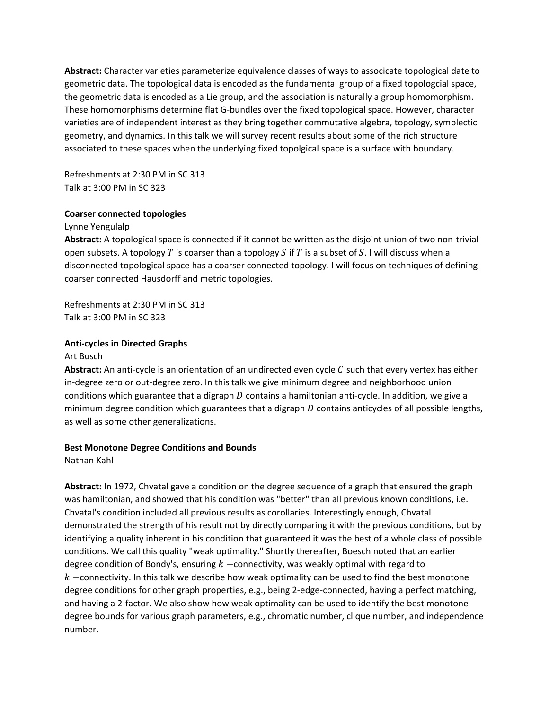**Abstract:** Character varieties parameterize equivalence classes of ways to associcate topological date to geometric data. The topological data is encoded as the fundamental group of a fixed topologcial space, the geometric data is encoded as a Lie group, and the association is naturally a group homomorphism. These homomorphisms determine flat G‐bundles over the fixed topological space. However, character varieties are of independent interest as they bring together commutative algebra, topology, symplectic geometry, and dynamics. In this talk we will survey recent results about some of the rich structure associated to these spaces when the underlying fixed topolgical space is a surface with boundary.

Refreshments at 2:30 PM in SC 313 Talk at 3:00 PM in SC 323

### **Coarser connected topologies**

Lynne Yengulalp

**Abstract:** A topological space is connected if it cannot be written as the disjoint union of two non‐trivial open subsets. A topology  $T$  is coarser than a topology  $S$  if  $T$  is a subset of  $S$ . I will discuss when a disconnected topological space has a coarser connected topology. I will focus on techniques of defining coarser connected Hausdorff and metric topologies.

Refreshments at 2:30 PM in SC 313 Talk at 3:00 PM in SC 323

#### **Anti‐cycles in Directed Graphs**

#### Art Busch

Abstract: An anti-cycle is an orientation of an undirected even cycle C such that every vertex has either in-degree zero or out-degree zero. In this talk we give minimum degree and neighborhood union conditions which guarantee that a digraph  $D$  contains a hamiltonian anti-cycle. In addition, we give a minimum degree condition which guarantees that a digraph  $D$  contains anticycles of all possible lengths, as well as some other generalizations.

#### **Best Monotone Degree Conditions and Bounds**

Nathan Kahl

**Abstract:** In 1972, Chvatal gave a condition on the degree sequence of a graph that ensured the graph was hamiltonian, and showed that his condition was "better" than all previous known conditions, i.e. Chvatal's condition included all previous results as corollaries. Interestingly enough, Chvatal demonstrated the strength of his result not by directly comparing it with the previous conditions, but by identifying a quality inherent in his condition that guaranteed it was the best of a whole class of possible conditions. We call this quality "weak optimality." Shortly thereafter, Boesch noted that an earlier degree condition of Bondy's, ensuring  $k$  –connectivity, was weakly optimal with regard to  $k$  -connectivity. In this talk we describe how weak optimality can be used to find the best monotone degree conditions for other graph properties, e.g., being 2‐edge‐connected, having a perfect matching, and having a 2‐factor. We also show how weak optimality can be used to identify the best monotone degree bounds for various graph parameters, e.g., chromatic number, clique number, and independence number.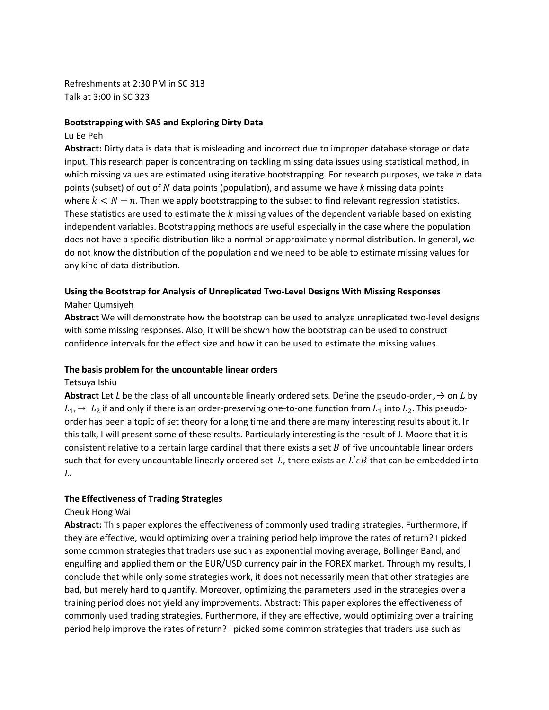Refreshments at 2:30 PM in SC 313 Talk at 3:00 in SC 323

#### **Bootstrapping with SAS and Exploring Dirty Data**

#### Lu Ee Peh

**Abstract:** Dirty data is data that is misleading and incorrect due to improper database storage or data input. This research paper is concentrating on tackling missing data issues using statistical method, in which missing values are estimated using iterative bootstrapping. For research purposes, we take  $n$  data points (subset) of out of ܰ data points (population), and assume we have *k* missing data points where  $k < N - n$ . Then we apply bootstrapping to the subset to find relevant regression statistics. These statistics are used to estimate the  $k$  missing values of the dependent variable based on existing independent variables. Bootstrapping methods are useful especially in the case where the population does not have a specific distribution like a normal or approximately normal distribution. In general, we do not know the distribution of the population and we need to be able to estimate missing values for any kind of data distribution.

## **Using the Bootstrap for Analysis of Unreplicated Two‐Level Designs With Missing Responses** Maher Qumsiyeh

**Abstract** We will demonstrate how the bootstrap can be used to analyze unreplicated two‐level designs with some missing responses. Also, it will be shown how the bootstrap can be used to construct confidence intervals for the effect size and how it can be used to estimate the missing values.

### **The basis problem for the uncountable linear orders**

### Tetsuya Ishiu

**Abstract** Let *L* be the class of all uncountable linearly ordered sets. Define the pseudo‐order *,→* on ܮ by  $L_1$ ,  $\rightarrow$   $L_2$  if and only if there is an order-preserving one-to-one function from  $L_1$  into  $L_2$ . This pseudoorder has been a topic of set theory for a long time and there are many interesting results about it. In this talk, I will present some of these results. Particularly interesting is the result of J. Moore that it is consistent relative to a certain large cardinal that there exists a set  $B$  of five uncountable linear orders such that for every uncountable linearly ordered set  $L$ , there exists an  $L' \epsilon B$  that can be embedded into  $L$ .

### **The Effectiveness of Trading Strategies**

#### Cheuk Hong Wai

**Abstract:** This paper explores the effectiveness of commonly used trading strategies. Furthermore, if they are effective, would optimizing over a training period help improve the rates of return? I picked some common strategies that traders use such as exponential moving average, Bollinger Band, and engulfing and applied them on the EUR/USD currency pair in the FOREX market. Through my results, I conclude that while only some strategies work, it does not necessarily mean that other strategies are bad, but merely hard to quantify. Moreover, optimizing the parameters used in the strategies over a training period does not yield any improvements. Abstract: This paper explores the effectiveness of commonly used trading strategies. Furthermore, if they are effective, would optimizing over a training period help improve the rates of return? I picked some common strategies that traders use such as